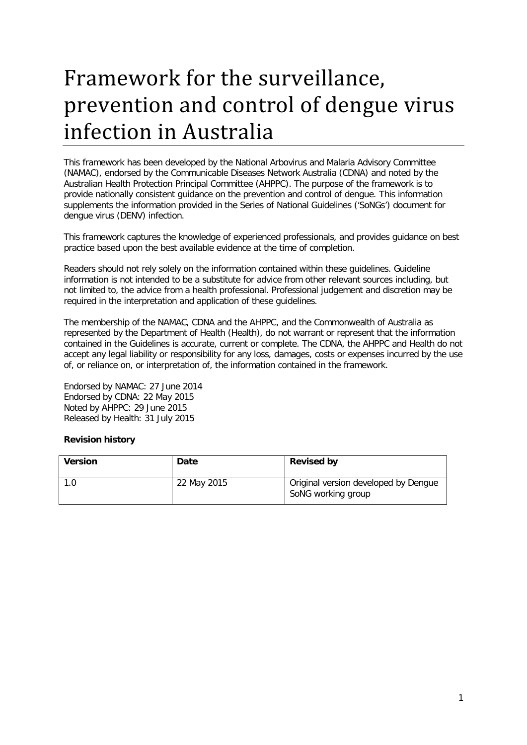# Framework for the surveillance, prevention and control of dengue virus infection in Australia

This framework has been developed by the National Arbovirus and Malaria Advisory Committee (NAMAC), endorsed by the Communicable Diseases Network Australia (CDNA) and noted by the Australian Health Protection Principal Committee (AHPPC). The purpose of the framework is to provide nationally consistent guidance on the prevention and control of dengue. This information supplements the information provided in the Series of National Guidelines ('SoNGs') document for dengue virus (DENV) infection.

This framework captures the knowledge of experienced professionals, and provides guidance on best practice based upon the best available evidence at the time of completion.

Readers should not rely solely on the information contained within these guidelines. Guideline information is not intended to be a substitute for advice from other relevant sources including, but not limited to, the advice from a health professional. Professional judgement and discretion may be required in the interpretation and application of these guidelines.

The membership of the NAMAC, CDNA and the AHPPC, and the Commonwealth of Australia as represented by the Department of Health (Health), do not warrant or represent that the information contained in the Guidelines is accurate, current or complete. The CDNA, the AHPPC and Health do not accept any legal liability or responsibility for any loss, damages, costs or expenses incurred by the use of, or reliance on, or interpretation of, the information contained in the framework.

Endorsed by NAMAC: 27 June 2014 Endorsed by CDNA: 22 May 2015 Noted by AHPPC: 29 June 2015 Released by Health: 31 July 2015

# <span id="page-0-0"></span>**Revision history**

| <b>Version</b> | Date        | <b>Revised by</b>                                          |
|----------------|-------------|------------------------------------------------------------|
| 1.0            | 22 May 2015 | Original version developed by Dengue<br>SoNG working group |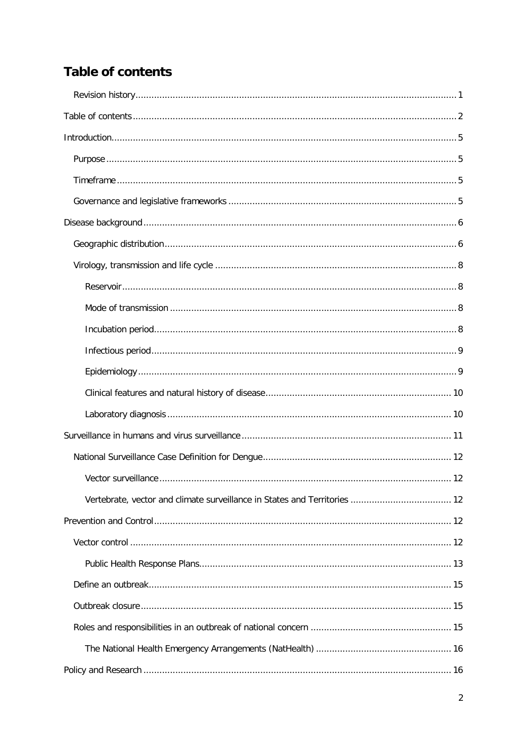# <span id="page-1-0"></span>**Table of contents**

| Vertebrate, vector and climate surveillance in States and Territories  12 |  |
|---------------------------------------------------------------------------|--|
|                                                                           |  |
|                                                                           |  |
|                                                                           |  |
|                                                                           |  |
|                                                                           |  |
|                                                                           |  |
|                                                                           |  |
|                                                                           |  |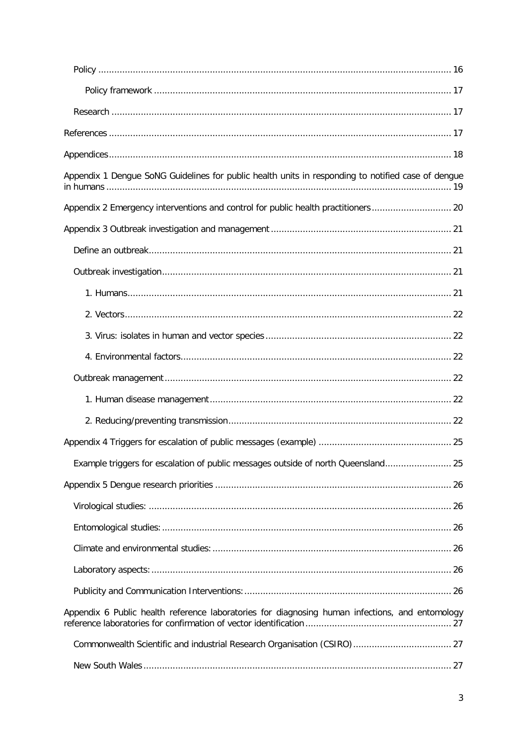| Appendix 1 Dengue SoNG Guidelines for public health units in responding to notified case of dengue |
|----------------------------------------------------------------------------------------------------|
| Appendix 2 Emergency interventions and control for public health practitioners 20                  |
|                                                                                                    |
|                                                                                                    |
|                                                                                                    |
|                                                                                                    |
|                                                                                                    |
|                                                                                                    |
|                                                                                                    |
|                                                                                                    |
|                                                                                                    |
|                                                                                                    |
|                                                                                                    |
| Example triggers for escalation of public messages outside of north Queensland 25                  |
|                                                                                                    |
|                                                                                                    |
|                                                                                                    |
|                                                                                                    |
|                                                                                                    |
|                                                                                                    |
| Appendix 6 Public health reference laboratories for diagnosing human infections, and entomology    |
|                                                                                                    |
|                                                                                                    |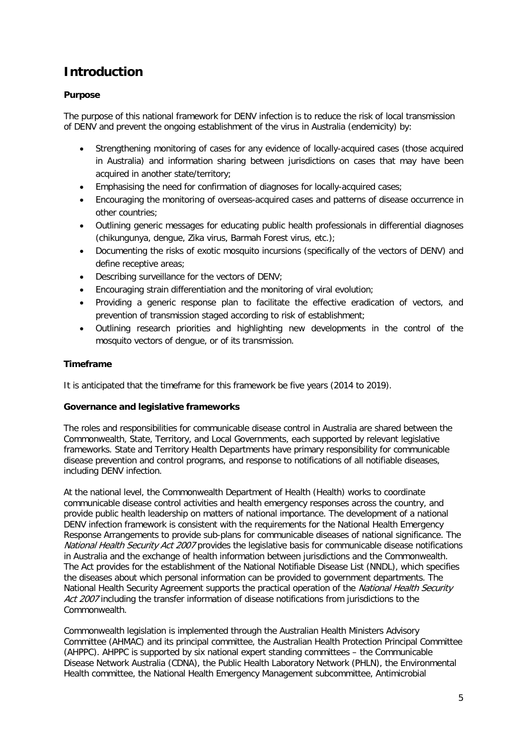# <span id="page-4-0"></span>**Introduction**

# <span id="page-4-1"></span>**Purpose**

The purpose of this national framework for DENV infection is to reduce the risk of local transmission of DENV and prevent the ongoing establishment of the virus in Australia (endemicity) by:

- Strengthening monitoring of cases for any evidence of locally-acquired cases (those acquired in Australia) and information sharing between jurisdictions on cases that may have been acquired in another state/territory;
- Emphasising the need for confirmation of diagnoses for locally-acquired cases;
- Encouraging the monitoring of overseas-acquired cases and patterns of disease occurrence in other countries;
- Outlining generic messages for educating public health professionals in differential diagnoses (chikungunya, dengue, Zika virus, Barmah Forest virus, etc.);
- Documenting the risks of exotic mosquito incursions (specifically of the vectors of DENV) and define receptive areas;
- Describing surveillance for the vectors of DENV;
- Encouraging strain differentiation and the monitoring of viral evolution;
- Providing a generic response plan to facilitate the effective eradication of vectors, and prevention of transmission staged according to risk of establishment;
- Outlining research priorities and highlighting new developments in the control of the mosquito vectors of dengue, or of its transmission.

# <span id="page-4-2"></span>**Timeframe**

It is anticipated that the timeframe for this framework be five years (2014 to 2019).

# <span id="page-4-3"></span>**Governance and legislative frameworks**

The roles and responsibilities for communicable disease control in Australia are shared between the Commonwealth, State, Territory, and Local Governments, each supported by relevant legislative frameworks. State and Territory Health Departments have primary responsibility for communicable disease prevention and control programs, and response to notifications of all notifiable diseases, including DENV infection.

At the national level, the Commonwealth Department of Health (Health) works to coordinate communicable disease control activities and health emergency responses across the country, and provide public health leadership on matters of national importance. The development of a national DENV infection framework is consistent with the requirements for the National Health Emergency Response Arrangements to provide sub-plans for communicable diseases of national significance. The National Health Security Act 2007 provides the legislative basis for communicable disease notifications in Australia and the exchange of health information between jurisdictions and the Commonwealth. The Act provides for the establishment of the National Notifiable Disease List (NNDL), which specifies the diseases about which personal information can be provided to government departments. The National Health Security Agreement supports the practical operation of the National Health Security Act 2007 including the transfer information of disease notifications from jurisdictions to the Commonwealth.

Commonwealth legislation is implemented through the Australian Health Ministers Advisory Committee (AHMAC) and its principal committee, the Australian Health Protection Principal Committee (AHPPC). AHPPC is supported by six national expert standing committees – the Communicable Disease Network Australia (CDNA), the Public Health Laboratory Network (PHLN), the Environmental Health committee, the National Health Emergency Management subcommittee, Antimicrobial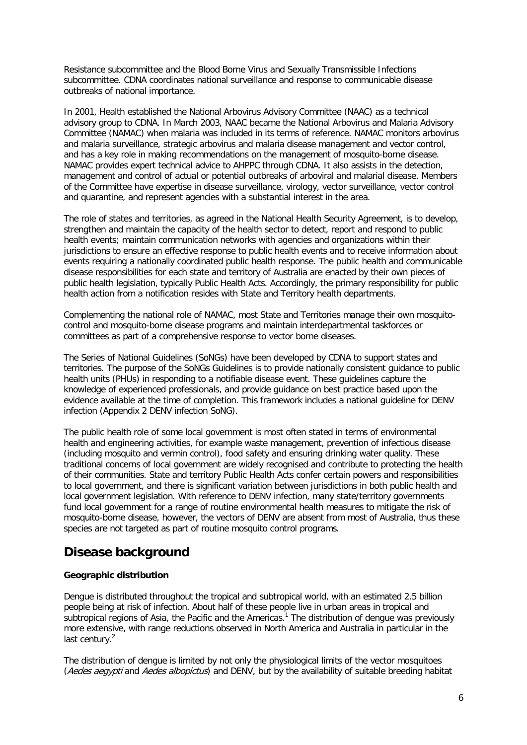Resistance subcommittee and the Blood Borne Virus and Sexually Transmissible Infections subcommittee. CDNA coordinates national surveillance and response to communicable disease outbreaks of national importance.

In 2001, Health established the National Arbovirus Advisory Committee (NAAC) as a technical advisory group to CDNA. In March 2003, NAAC became the National Arbovirus and Malaria Advisory Committee (NAMAC) when malaria was included in its terms of reference. NAMAC monitors arbovirus and malaria surveillance, strategic arbovirus and malaria disease management and vector control, and has a key role in making recommendations on the management of mosquito-borne disease. NAMAC provides expert technical advice to AHPPC through CDNA. It also assists in the detection, management and control of actual or potential outbreaks of arboviral and malarial disease. Members of the Committee have expertise in disease surveillance, virology, vector surveillance, vector control and quarantine, and represent agencies with a substantial interest in the area.

The role of states and territories, as agreed in the National Health Security Agreement, is to develop, strengthen and maintain the capacity of the health sector to detect, report and respond to public health events; maintain communication networks with agencies and organizations within their jurisdictions to ensure an effective response to public health events and to receive information about events requiring a nationally coordinated public health response. The public health and communicable disease responsibilities for each state and territory of Australia are enacted by their own pieces of public health legislation, typically Public Health Acts. Accordingly, the primary responsibility for public health action from a notification resides with State and Territory health departments.

Complementing the national role of NAMAC, most State and Territories manage their own mosquitocontrol and mosquito-borne disease programs and maintain interdepartmental taskforces or committees as part of a comprehensive response to vector borne diseases.

The Series of National Guidelines (SoNGs) have been developed by CDNA to support states and territories. The purpose of the SoNGs Guidelines is to provide nationally consistent guidance to public health units (PHUs) in responding to a notifiable disease event. These guidelines capture the knowledge of experienced professionals, and provide guidance on best practice based upon the evidence available at the time of completion. This framework includes a national guideline for DENV infection (Appendix 2 DENV infection SoNG).

The public health role of some local government is most often stated in terms of environmental health and engineering activities, for example waste management, prevention of infectious disease (including mosquito and vermin control), food safety and ensuring drinking water quality. These traditional concerns of local government are widely recognised and contribute to protecting the health of their communities. State and territory Public Health Acts confer certain powers and responsibilities to local government, and there is significant variation between jurisdictions in both public health and local government legislation. With reference to DENV infection, many state/territory governments fund local government for a range of routine environmental health measures to mitigate the risk of mosquito-borne disease, however, the vectors of DENV are absent from most of Australia, thus these species are not targeted as part of routine mosquito control programs.

# <span id="page-5-0"></span>**Disease background**

# <span id="page-5-1"></span>**Geographic distribution**

Dengue is distributed throughout the tropical and subtropical world, with an estimated 2.5 billion people being at risk of infection. About half of these people live in urban areas in tropical and subtropical regions of Asia, the Pacific and the Americas.<sup>1</sup> The distribution of dengue was previously more extensive, with range reductions observed in North America and Australia in particular in the last century.<sup>2</sup>

The distribution of dengue is limited by not only the physiological limits of the vector mosquitoes (Aedes aegypti and Aedes albopictus) and DENV, but by the availability of suitable breeding habitat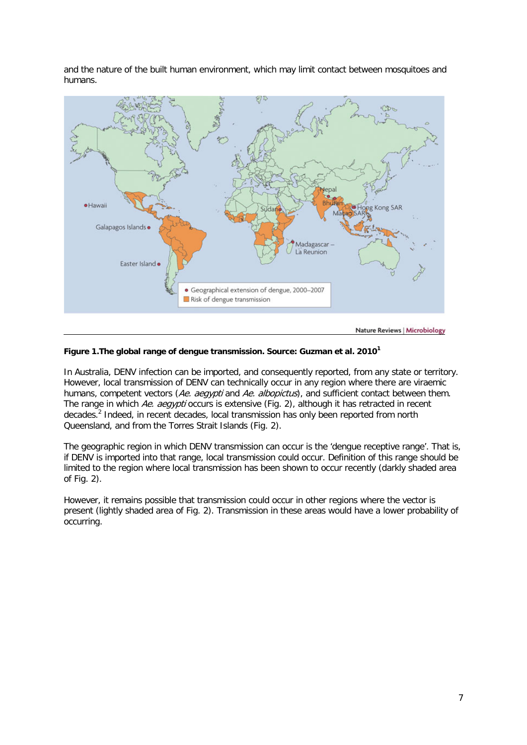and the nature of the built human environment, which may limit contact between mosquitoes and humans.



**Figure 1.The global range of dengue transmission. Source: Guzman et al. 2010[1](#page-16-3)**

In Australia, DENV infection can be imported, and consequently reported, from any state or territory. However, local transmission of DENV can technically occur in any region where there are viraemic humans, competent vectors (Ae. aegypti and Ae. albopictus), and sufficient contact between them. The range in which Ae. aegypti occurs is extensive (Fig. 2), although it has retracted in recent decades[.2](#page-16-4) Indeed, in recent decades, local transmission has only been reported from north Queensland, and from the Torres Strait Islands (Fig. 2).

The geographic region in which DENV transmission can occur is the 'dengue receptive range'. That is, if DENV is imported into that range, local transmission could occur. Definition of this range should be limited to the region where local transmission has been shown to occur recently (darkly shaded area of Fig. 2).

However, it remains possible that transmission could occur in other regions where the vector is present (lightly shaded area of Fig. 2). Transmission in these areas would have a lower probability of occurring.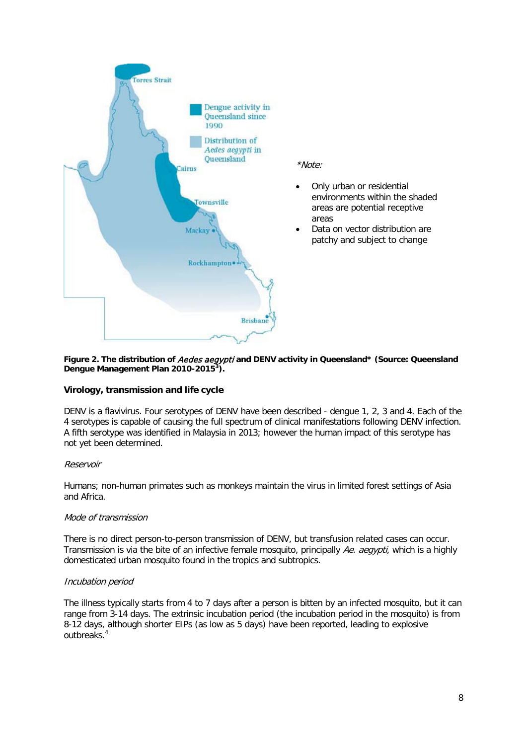

#### Figure 2. The distribution of *Aedes aegypti* and DENV activity in Queensland\* (Source: Queensland **Dengue Management Plan 2010-2015[3](#page-16-5) ).**

# <span id="page-7-0"></span>**Virology, transmission and life cycle**

DENV is a flavivirus. Four serotypes of DENV have been described - dengue 1, 2, 3 and 4. Each of the 4 serotypes is capable of causing the full spectrum of clinical manifestations following DENV infection. A fifth serotype was identified in Malaysia in 2013; however the human impact of this serotype has not yet been determined.

# <span id="page-7-1"></span>Reservoir

Humans; non-human primates such as monkeys maintain the virus in limited forest settings of Asia and Africa.

#### <span id="page-7-2"></span>Mode of transmission

There is no direct person-to-person transmission of DENV, but transfusion related cases can occur. Transmission is via the bite of an infective female mosquito, principally Ae. aegypti, which is a highly domesticated urban mosquito found in the tropics and subtropics.

#### <span id="page-7-3"></span>Incubation period

The illness typically starts from 4 to 7 days after a person is bitten by an infected mosquito, but it can range from 3-14 days. The extrinsic incubation period (the incubation period in the mosquito) is from 8-12 days, although shorter EIPs (as low as 5 days) have been reported, leading to explosive outbreaks[.](#page-16-6)<sup>4</sup>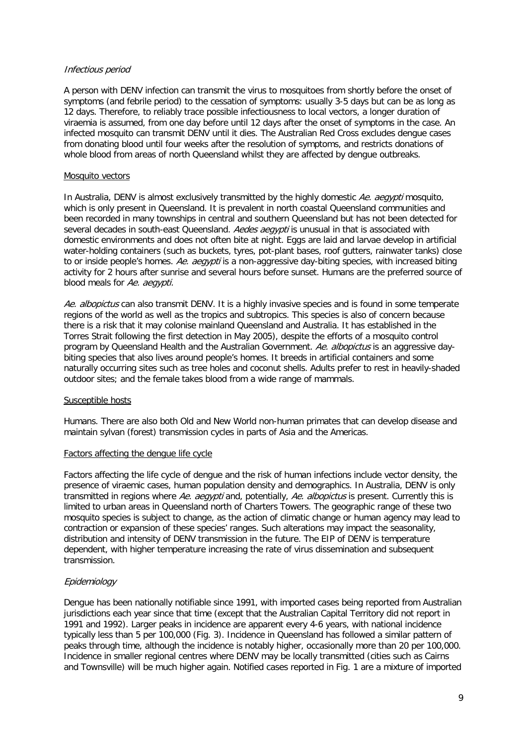### <span id="page-8-0"></span>Infectious period

A person with DENV infection can transmit the virus to mosquitoes from shortly before the onset of symptoms (and febrile period) to the cessation of symptoms: usually 3-5 days but can be as long as 12 days. Therefore, to reliably trace possible infectiousness to local vectors, a longer duration of viraemia is assumed, from one day before until 12 days after the onset of symptoms in the case. An infected mosquito can transmit DENV until it dies. The Australian Red Cross excludes dengue cases from donating blood until four weeks after the resolution of symptoms, and restricts donations of whole blood from areas of north Queensland whilst they are affected by dengue outbreaks.

### Mosquito vectors

In Australia, DENV is almost exclusively transmitted by the highly domestic Ae. aegypti mosquito, which is only present in Queensland. It is prevalent in north coastal Queensland communities and been recorded in many townships in central and southern Queensland but has not been detected for several decades in south-east Queensland. Aedes aegypti is unusual in that is associated with domestic environments and does not often bite at night. Eggs are laid and larvae develop in artificial water-holding containers (such as buckets, tyres, pot-plant bases, roof gutters, rainwater tanks) close to or inside people's homes. Ae. aegypti is a non-aggressive day-biting species, with increased biting activity for 2 hours after sunrise and several hours before sunset. Humans are the preferred source of blood meals for Ae. aegypti.

Ae. albopictus can also transmit DENV. It is a highly invasive species and is found in some temperate regions of the world as well as the tropics and subtropics. This species is also of concern because there is a risk that it may colonise mainland Queensland and Australia. It has established in the Torres Strait following the first detection in May 2005), despite the efforts of a mosquito control program by Queensland Health and the Australian Government. Ae. albopictus is an aggressive daybiting species that also lives around people's homes. It breeds in artificial containers and some naturally occurring sites such as tree holes and coconut shells. Adults prefer to rest in heavily-shaded outdoor sites; and the female takes blood from a wide range of mammals.

#### Susceptible hosts

Humans. There are also both Old and New World non-human primates that can develop disease and maintain sylvan (forest) transmission cycles in parts of Asia and the Americas.

#### Factors affecting the dengue life cycle

Factors affecting the life cycle of dengue and the risk of human infections include vector density, the presence of viraemic cases, human population density and demographics. In Australia, DENV is only transmitted in regions where Ae. aegypti and, potentially, Ae. albopictus is present. Currently this is limited to urban areas in Queensland north of Charters Towers. The geographic range of these two mosquito species is subject to change, as the action of climatic change or human agency may lead to contraction or expansion of these species' ranges. Such alterations may impact the seasonality, distribution and intensity of DENV transmission in the future. The EIP of DENV is temperature dependent, with higher temperature increasing the rate of virus dissemination and subsequent transmission.

# <span id="page-8-1"></span>**Epidemiology**

Dengue has been nationally notifiable since 1991, with imported cases being reported from Australian jurisdictions each year since that time (except that the Australian Capital Territory did not report in 1991 and 1992). Larger peaks in incidence are apparent every 4-6 years, with national incidence typically less than 5 per 100,000 (Fig. 3). Incidence in Queensland has followed a similar pattern of peaks through time, although the incidence is notably higher, occasionally more than 20 per 100,000. Incidence in smaller regional centres where DENV may be locally transmitted (cities such as Cairns and Townsville) will be much higher again. Notified cases reported in Fig. 1 are a mixture of imported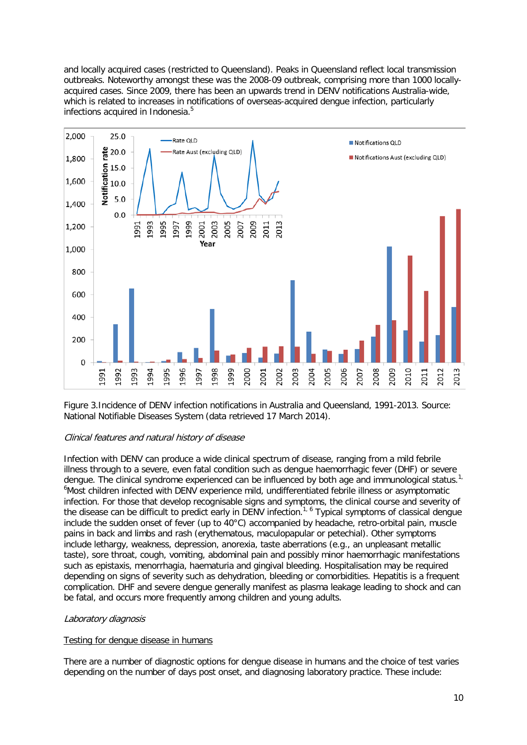and locally acquired cases (restricted to Queensland). Peaks in Queensland reflect local transmission outbreaks. Noteworthy amongst these was the 2008-09 outbreak, comprising more than 1000 locallyacquired cases. Since 2009, there has been an upwards trend in DENV notifications Australia-wide, which is related to increases in notifications of overseas-acquired dengue infection, particularly infections acquired in Indonesia.<sup>5</sup>



Figure 3.Incidence of DENV infection notifications in Australia and Queensland, 1991-2013. Source: National Notifiable Diseases System (data retrieved 17 March 2014).

# <span id="page-9-0"></span>Clinical features and natural history of disease

Infection with DENV can produce a wide clinical spectrum of disease, ranging from a mild febrile illness through to a severe, even fatal condition such as dengue haemorrhagic fever (DHF) or severe dengue. The clinical syndrome experienced can be influenced by both age and immunological status.<sup>[1,](#page-16-3)</sup> <sup>6</sup>[M](#page-16-8)ost children infected with DENV experience mild, undifferentiated febrile illness or asymptomatic infection. For those that develop recognisable signs and symptoms, the clinical course and severity of the disease can be difficult to predict early in DENV infection.<sup>[1,](#page-16-3) [6](#page-16-8)</sup> Typical symptoms of classical dengue include the sudden onset of fever (up to 40°C) accompanied by headache, retro-orbital pain, muscle pains in back and limbs and rash (erythematous, maculopapular or petechial). Other symptoms include lethargy, weakness, depression, anorexia, taste aberrations (e.g., an unpleasant metallic taste), sore throat, cough, vomiting, abdominal pain and possibly minor haemorrhagic manifestations such as epistaxis, menorrhagia, haematuria and gingival bleeding. Hospitalisation may be required depending on signs of severity such as dehydration, bleeding or comorbidities. Hepatitis is a frequent complication. DHF and severe dengue generally manifest as plasma leakage leading to shock and can be fatal, and occurs more frequently among children and young adults.

# <span id="page-9-1"></span>Laboratory diagnosis

#### Testing for dengue disease in humans

There are a number of diagnostic options for dengue disease in humans and the choice of test varies depending on the number of days post onset, and diagnosing laboratory practice. These include: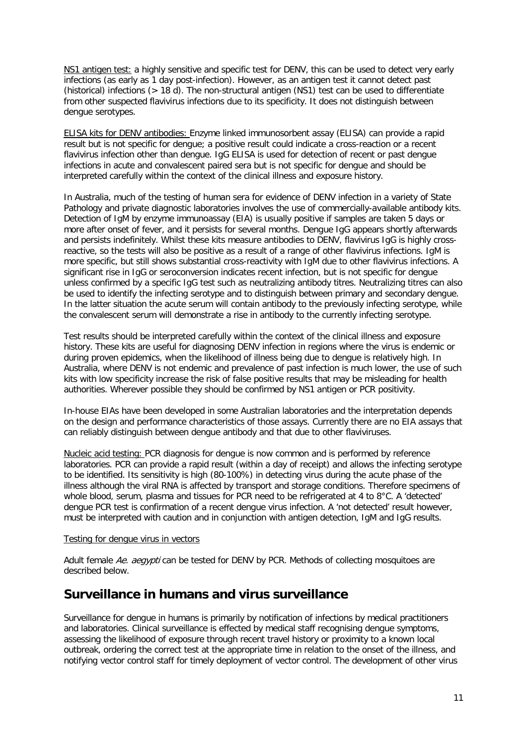NS1 antigen test: a highly sensitive and specific test for DENV, this can be used to detect very early infections (as early as 1 day post-infection). However, as an antigen test it cannot detect past (historical) infections (> 18 d). The non-structural antigen (NS1) test can be used to differentiate from other suspected flavivirus infections due to its specificity. It does not distinguish between dengue serotypes.

ELISA kits for DENV antibodies: Enzyme linked immunosorbent assay (ELISA) can provide a rapid result but is not specific for dengue; a positive result could indicate a cross-reaction or a recent flavivirus infection other than dengue. IgG ELISA is used for detection of recent or past dengue infections in acute and convalescent paired sera but is not specific for dengue and should be interpreted carefully within the context of the clinical illness and exposure history.

In Australia, much of the testing of human sera for evidence of DENV infection in a variety of State Pathology and private diagnostic laboratories involves the use of commercially-available antibody kits. Detection of IgM by enzyme immunoassay (EIA) is usually positive if samples are taken 5 days or more after onset of fever, and it persists for several months. Dengue IgG appears shortly afterwards and persists indefinitely. Whilst these kits measure antibodies to DENV, flavivirus IgG is highly crossreactive, so the tests will also be positive as a result of a range of other flavivirus infections. IgM is more specific, but still shows substantial cross-reactivity with IgM due to other flavivirus infections. A significant rise in IgG or seroconversion indicates recent infection, but is not specific for dengue unless confirmed by a specific IgG test such as neutralizing antibody titres. Neutralizing titres can also be used to identify the infecting serotype and to distinguish between primary and secondary dengue. In the latter situation the acute serum will contain antibody to the previously infecting serotype, while the convalescent serum will demonstrate a rise in antibody to the currently infecting serotype.

Test results should be interpreted carefully within the context of the clinical illness and exposure history. These kits are useful for diagnosing DENV infection in regions where the virus is endemic or during proven epidemics, when the likelihood of illness being due to dengue is relatively high. In Australia, where DENV is not endemic and prevalence of past infection is much lower, the use of such kits with low specificity increase the risk of false positive results that may be misleading for health authorities. Wherever possible they should be confirmed by NS1 antigen or PCR positivity.

In-house EIAs have been developed in some Australian laboratories and the interpretation depends on the design and performance characteristics of those assays. Currently there are no EIA assays that can reliably distinguish between dengue antibody and that due to other flaviviruses.

Nucleic acid testing: PCR diagnosis for dengue is now common and is performed by reference laboratories. PCR can provide a rapid result (within a day of receipt) and allows the infecting serotype to be identified. Its sensitivity is high (80-100%) in detecting virus during the acute phase of the illness although the viral RNA is affected by transport and storage conditions. Therefore specimens of whole blood, serum, plasma and tissues for PCR need to be refrigerated at 4 to 8°C. A 'detected' dengue PCR test is confirmation of a recent dengue virus infection. A 'not detected' result however, must be interpreted with caution and in conjunction with antigen detection, IgM and IgG results.

#### Testing for dengue virus in vectors

Adult female Ae. aeavpti can be tested for DENV by PCR. Methods of collecting mosquitoes are described below.

# <span id="page-10-0"></span>**Surveillance in humans and virus surveillance**

Surveillance for dengue in humans is primarily by notification of infections by medical practitioners and laboratories. Clinical surveillance is effected by medical staff recognising dengue symptoms, assessing the likelihood of exposure through recent travel history or proximity to a known local outbreak, ordering the correct test at the appropriate time in relation to the onset of the illness, and notifying vector control staff for timely deployment of vector control. The development of other virus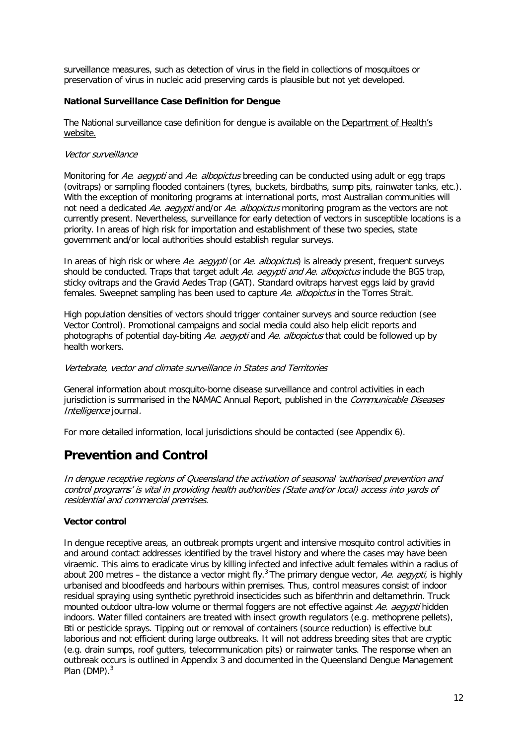surveillance measures, such as detection of virus in the field in collections of mosquitoes or preservation of virus in nucleic acid preserving cards is plausible but not yet developed.

# <span id="page-11-0"></span>**National Surveillance Case Definition for Dengue**

The National surveillance case definition for dengue is available on the [Department of Health's](http://www.health.gov.au/internet/main/publishing.nsf/Content/cda-surveil-nndss-casedefs-cd_dengue.htm)  [website.](http://www.health.gov.au/internet/main/publishing.nsf/Content/cda-surveil-nndss-casedefs-cd_dengue.htm)

## <span id="page-11-1"></span>Vector surveillance

Monitoring for Ae. aegypti and Ae. albopictus breeding can be conducted using adult or egg traps (ovitraps) or sampling flooded containers (tyres, buckets, birdbaths, sump pits, rainwater tanks, etc.). With the exception of monitoring programs at international ports, most Australian communities will not need a dedicated Ae. aegypti and/or Ae. albopictus monitoring program as the vectors are not currently present. Nevertheless, surveillance for early detection of vectors in susceptible locations is a priority. In areas of high risk for importation and establishment of these two species, state government and/or local authorities should establish regular surveys.

In areas of high risk or where Ae. aegypti (or Ae. albopictus) is already present, frequent surveys should be conducted. Traps that target adult Ae. aegypti and Ae. albopictus include the BGS trap, sticky ovitraps and the Gravid Aedes Trap (GAT). Standard ovitraps harvest eggs laid by gravid females. Sweepnet sampling has been used to capture Ae. albopictus in the Torres Strait.

High population densities of vectors should trigger container surveys and source reduction (see Vector Control). Promotional campaigns and social media could also help elicit reports and photographs of potential day-biting Ae. aegypti and Ae. albopictus that could be followed up by health workers.

### <span id="page-11-2"></span>Vertebrate, vector and climate surveillance in States and Territories

General information about mosquito-borne disease surveillance and control activities in each jurisdiction is summarised in the NAMAC Annual Report, published in the Communicable Diseases [Intelligence](http://www.health.gov.au/internet/main/publishing.nsf/content/cda-pubs-cdi-cdiintro.htm) journal.

For more detailed information, local jurisdictions should be contacted (see Appendix 6).

# <span id="page-11-3"></span>**Prevention and Control**

In dengue receptive regions of Queensland the activation of seasonal 'authorised prevention and control programs' is vital in providing health authorities (State and/or local) access into yards of residential and commercial premises.

# <span id="page-11-4"></span>**Vector control**

In dengue receptive areas, an outbreak prompts urgent and intensive mosquito control activities in and around contact addresses identified by the travel history and where the cases may have been viraemic. This aims to eradicate virus by killing infected and infective adult females within a radius of about 200 metres – the distance a vector might fly.<sup>[3](#page-16-5)</sup> The primary dengue vector, Ae. aegypti, is highly urbanised and bloodfeeds and harbours within premises. Thus, control measures consist of indoor residual spraying using synthetic pyrethroid insecticides such as bifenthrin and deltamethrin. Truck mounted outdoor ultra-low volume or thermal foggers are not effective against Ae. aegypti hidden indoors. Water filled containers are treated with insect growth regulators (e.g. methoprene pellets), Bti or pesticide sprays. Tipping out or removal of containers (source reduction) is effective but laborious and not efficient during large outbreaks. It will not address breeding sites that are cryptic (e.g. drain sumps, roof gutters, telecommunication pits) or rainwater tanks. The response when an outbreak occurs is outlined in Appendix 3 and documented in the Queensland Dengue Management Plan (DMP)[.](#page-16-5)<sup>3</sup>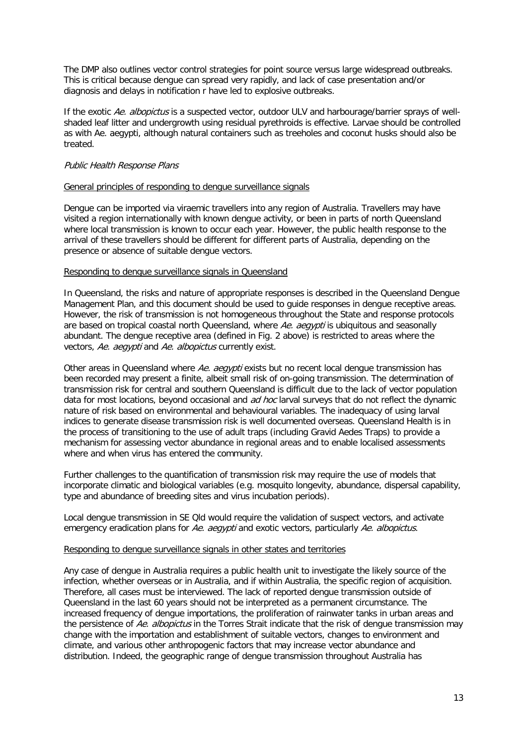The DMP also outlines vector control strategies for point source versus large widespread outbreaks. This is critical because dengue can spread very rapidly, and lack of case presentation and/or diagnosis and delays in notification r have led to explosive outbreaks.

If the exotic Ae. albopictus is a suspected vector, outdoor ULV and harbourage/barrier sprays of wellshaded leaf litter and undergrowth using residual pyrethroids is effective. Larvae should be controlled as with Ae. aegypti, although natural containers such as treeholes and coconut husks should also be treated.

### <span id="page-12-0"></span>Public Health Response Plans

#### General principles of responding to dengue surveillance signals

Dengue can be imported via viraemic travellers into any region of Australia. Travellers may have visited a region internationally with known dengue activity, or been in parts of north Queensland where local transmission is known to occur each year. However, the public health response to the arrival of these travellers should be different for different parts of Australia, depending on the presence or absence of suitable dengue vectors.

### Responding to dengue surveillance signals in Queensland

In Queensland, the risks and nature of appropriate responses is described in the Queensland Dengue Management Plan, and this document should be used to guide responses in dengue receptive areas. However, the risk of transmission is not homogeneous throughout the State and response protocols are based on tropical coastal north Queensland, where Ae. aegypti is ubiquitous and seasonally abundant. The dengue receptive area (defined in Fig. 2 above) is restricted to areas where the vectors, Ae. aegypti and Ae. albopictus currently exist.

Other areas in Queensland where Ae. aegypti exists but no recent local dengue transmission has been recorded may present a finite, albeit small risk of on-going transmission. The determination of transmission risk for central and southern Queensland is difficult due to the lack of vector population data for most locations, beyond occasional and *ad hoc* larval surveys that do not reflect the dynamic nature of risk based on environmental and behavioural variables. The inadequacy of using larval indices to generate disease transmission risk is well documented overseas. Queensland Health is in the process of transitioning to the use of adult traps (including Gravid Aedes Traps) to provide a mechanism for assessing vector abundance in regional areas and to enable localised assessments where and when virus has entered the community.

Further challenges to the quantification of transmission risk may require the use of models that incorporate climatic and biological variables (e.g. mosquito longevity, abundance, dispersal capability, type and abundance of breeding sites and virus incubation periods).

Local dengue transmission in SE Qld would require the validation of suspect vectors, and activate emergency eradication plans for Ae. aegypti and exotic vectors, particularly Ae. albopictus.

### Responding to dengue surveillance signals in other states and territories

Any case of dengue in Australia requires a public health unit to investigate the likely source of the infection, whether overseas or in Australia, and if within Australia, the specific region of acquisition. Therefore, all cases must be interviewed. The lack of reported dengue transmission outside of Queensland in the last 60 years should not be interpreted as a permanent circumstance. The increased frequency of dengue importations, the proliferation of rainwater tanks in urban areas and the persistence of Ae. albopictus in the Torres Strait indicate that the risk of dengue transmission may change with the importation and establishment of suitable vectors, changes to environment and climate, and various other anthropogenic factors that may increase vector abundance and distribution. Indeed, the geographic range of dengue transmission throughout Australia has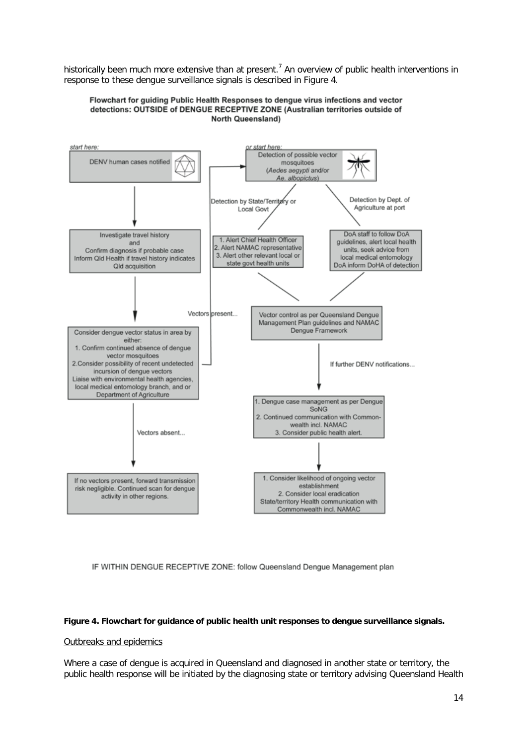historically been much more extensive than at present.<sup>7</sup> An overview of public health interventions in response to these dengue surveillance signals is described in Figure 4.





IF WITHIN DENGUE RECEPTIVE ZONE: follow Queensland Dengue Management plan

#### **Figure 4. Flowchart for guidance of public health unit responses to dengue surveillance signals.**

# Outbreaks and epidemics

Where a case of dengue is acquired in Queensland and diagnosed in another state or territory, the public health response will be initiated by the diagnosing state or territory advising Queensland Health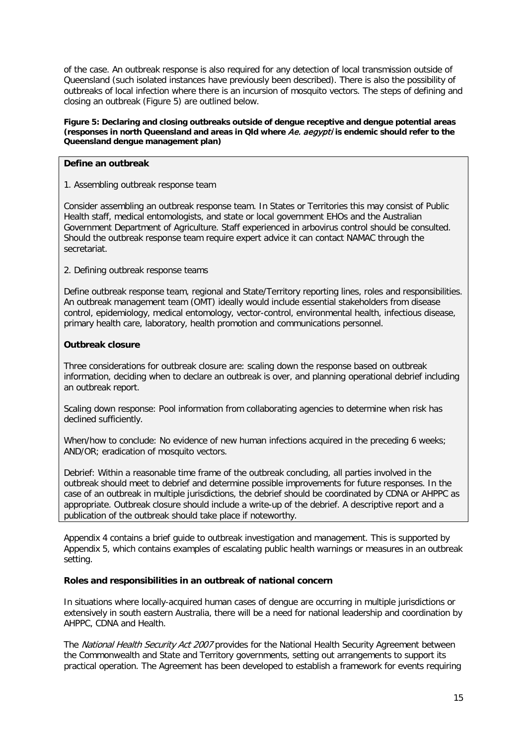of the case. An outbreak response is also required for any detection of local transmission outside of Queensland (such isolated instances have previously been described). There is also the possibility of outbreaks of local infection where there is an incursion of mosquito vectors. The steps of defining and closing an outbreak [\(Figure 5](#page-14-3)) are outlined below.

<span id="page-14-3"></span>**Figure 5: Declaring and closing outbreaks outside of dengue receptive and dengue potential areas (responses in north Queensland and areas in Qld where** Ae. aegypti **is endemic should refer to the Queensland dengue management plan)**

# <span id="page-14-0"></span>**Define an outbreak**

1. Assembling outbreak response team

Consider assembling an outbreak response team. In States or Territories this may consist of Public Health staff, medical entomologists, and state or local government EHOs and the Australian Government Department of Agriculture. Staff experienced in arbovirus control should be consulted. Should the outbreak response team require expert advice it can contact NAMAC through the secretariat.

2. Defining outbreak response teams

Define outbreak response team, regional and State/Territory reporting lines, roles and responsibilities. An outbreak management team (OMT) ideally would include essential stakeholders from disease control, epidemiology, medical entomology, vector-control, environmental health, infectious disease, primary health care, laboratory, health promotion and communications personnel.

# <span id="page-14-1"></span>**Outbreak closure**

Three considerations for outbreak closure are: scaling down the response based on outbreak information, deciding when to declare an outbreak is over, and planning operational debrief including an outbreak report.

Scaling down response: Pool information from collaborating agencies to determine when risk has declined sufficiently.

When/how to conclude: No evidence of new human infections acquired in the preceding 6 weeks; AND/OR; eradication of mosquito vectors.

Debrief: Within a reasonable time frame of the outbreak concluding, all parties involved in the outbreak should meet to debrief and determine possible improvements for future responses. In the case of an outbreak in multiple jurisdictions, the debrief should be coordinated by CDNA or AHPPC as appropriate. Outbreak closure should include a write-up of the debrief. A descriptive report and a publication of the outbreak should take place if noteworthy.

Appendix 4 contains a brief guide to outbreak investigation and management. This is supported by Appendix 5, which contains examples of escalating public health warnings or measures in an outbreak setting.

# <span id="page-14-2"></span>**Roles and responsibilities in an outbreak of national concern**

In situations where locally-acquired human cases of dengue are occurring in multiple jurisdictions or extensively in south eastern Australia, there will be a need for national leadership and coordination by AHPPC, CDNA and Health.

The National Health Security Act 2007 provides for the National Health Security Agreement between the Commonwealth and State and Territory governments, setting out arrangements to support its practical operation. The Agreement has been developed to establish a framework for events requiring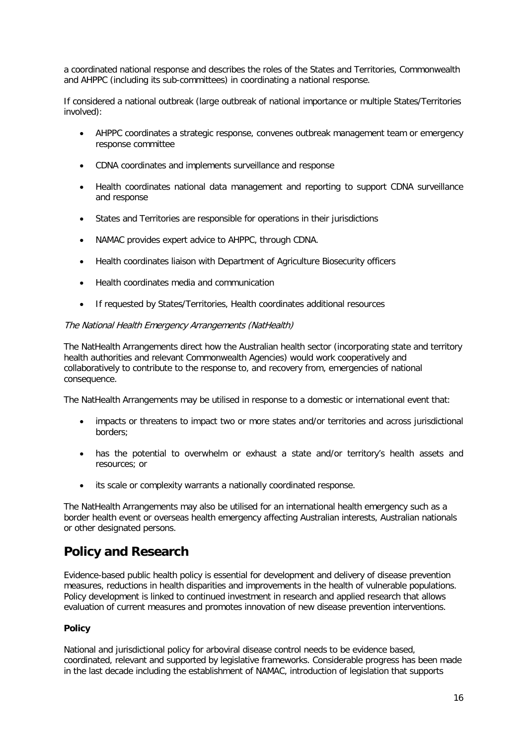a coordinated national response and describes the roles of the States and Territories, Commonwealth and AHPPC (including its sub-committees) in coordinating a national response.

If considered a national outbreak (large outbreak of national importance or multiple States/Territories involved):

- AHPPC coordinates a strategic response, convenes outbreak management team or emergency response committee
- CDNA coordinates and implements surveillance and response
- Health coordinates national data management and reporting to support CDNA surveillance and response
- States and Territories are responsible for operations in their jurisdictions
- NAMAC provides expert advice to AHPPC, through CDNA.
- Health coordinates liaison with Department of Agriculture Biosecurity officers
- Health coordinates media and communication
- If requested by States/Territories, Health coordinates additional resources

### <span id="page-15-0"></span>The National Health Emergency Arrangements (NatHealth)

The NatHealth Arrangements direct how the Australian health sector (incorporating state and territory health authorities and relevant Commonwealth Agencies) would work cooperatively and collaboratively to contribute to the response to, and recovery from, emergencies of national consequence.

The NatHealth Arrangements may be utilised in response to a domestic or international event that:

- impacts or threatens to impact two or more states and/or territories and across jurisdictional borders;
- has the potential to overwhelm or exhaust a state and/or territory's health assets and resources; or
- its scale or complexity warrants a nationally coordinated response.

The NatHealth Arrangements may also be utilised for an international health emergency such as a border health event or overseas health emergency affecting Australian interests, Australian nationals or other designated persons.

# <span id="page-15-1"></span>**Policy and Research**

Evidence-based public health policy is essential for development and delivery of disease prevention measures, reductions in health disparities and improvements in the health of vulnerable populations. Policy development is linked to continued investment in research and applied research that allows evaluation of current measures and promotes innovation of new disease prevention interventions.

# <span id="page-15-2"></span>**Policy**

National and jurisdictional policy for arboviral disease control needs to be evidence based, coordinated, relevant and supported by legislative frameworks. Considerable progress has been made in the last decade including the establishment of NAMAC, introduction of legislation that supports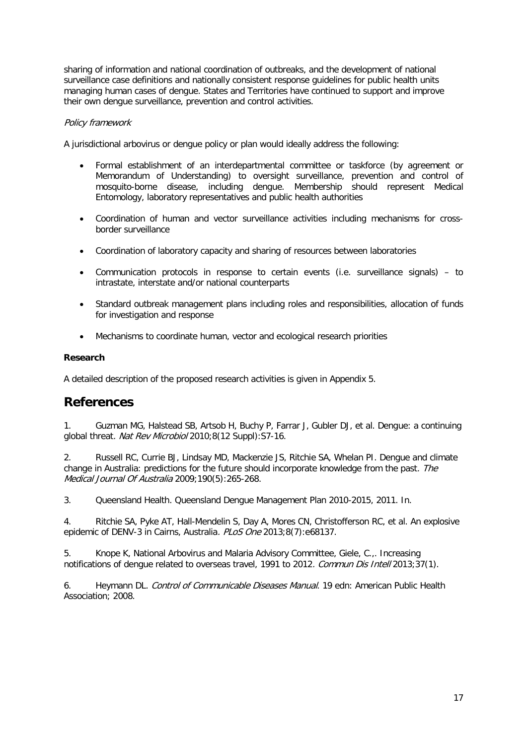sharing of information and national coordination of outbreaks, and the development of national surveillance case definitions and nationally consistent response guidelines for public health units managing human cases of dengue. States and Territories have continued to support and improve their own dengue surveillance, prevention and control activities.

# <span id="page-16-0"></span>Policy framework

A jurisdictional arbovirus or dengue policy or plan would ideally address the following:

- Formal establishment of an interdepartmental committee or taskforce (by agreement or Memorandum of Understanding) to oversight surveillance, prevention and control of mosquito-borne disease, including dengue. Membership should represent Medical Entomology, laboratory representatives and public health authorities
- Coordination of human and vector surveillance activities including mechanisms for crossborder surveillance
- Coordination of laboratory capacity and sharing of resources between laboratories
- Communication protocols in response to certain events (i.e. surveillance signals) to intrastate, interstate and/or national counterparts
- Standard outbreak management plans including roles and responsibilities, allocation of funds for investigation and response
- Mechanisms to coordinate human, vector and ecological research priorities

# <span id="page-16-1"></span>**Research**

A detailed description of the proposed research activities is given in Appendix 5.

# <span id="page-16-2"></span>**References**

<span id="page-16-3"></span>1. Guzman MG, Halstead SB, Artsob H, Buchy P, Farrar J, Gubler DJ, et al. Dengue: a continuing global threat. Nat Rev Microbiol 2010;8(12 Suppl):S7-16.

<span id="page-16-4"></span>2. Russell RC, Currie BJ, Lindsay MD, Mackenzie JS, Ritchie SA, Whelan PI. Dengue and climate change in Australia: predictions for the future should incorporate knowledge from the past. The Medical Journal Of Australia 2009;190(5):265-268.

<span id="page-16-5"></span>3. Queensland Health. Queensland Dengue Management Plan 2010-2015, 2011. In.

<span id="page-16-6"></span>4. Ritchie SA, Pyke AT, Hall-Mendelin S, Day A, Mores CN, Christofferson RC, et al. An explosive epidemic of DENV-3 in Cairns, Australia. PLoS One 2013;8(7):e68137.

<span id="page-16-7"></span>5. Knope K, National Arbovirus and Malaria Advisory Committee, Giele, C.,. Increasing notifications of dengue related to overseas travel, 1991 to 2012. Commun Dis Intell 2013;37(1).

<span id="page-16-8"></span>6. Heymann DL. Control of Communicable Diseases Manual. 19 edn: American Public Health Association; 2008.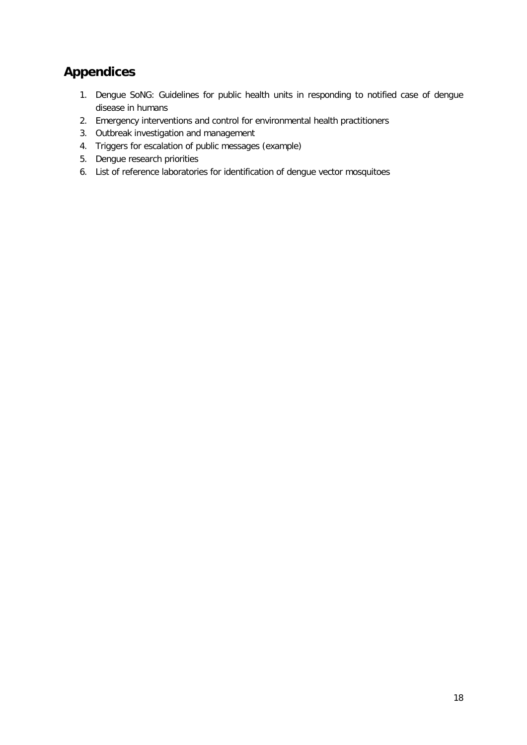# <span id="page-17-0"></span>**Appendices**

- 1. Dengue SoNG: Guidelines for public health units in responding to notified case of dengue disease in humans
- 2. Emergency interventions and control for environmental health practitioners
- 3. Outbreak investigation and management
- 4. Triggers for escalation of public messages (example)
- 5. Dengue research priorities
- 6. List of reference laboratories for identification of dengue vector mosquitoes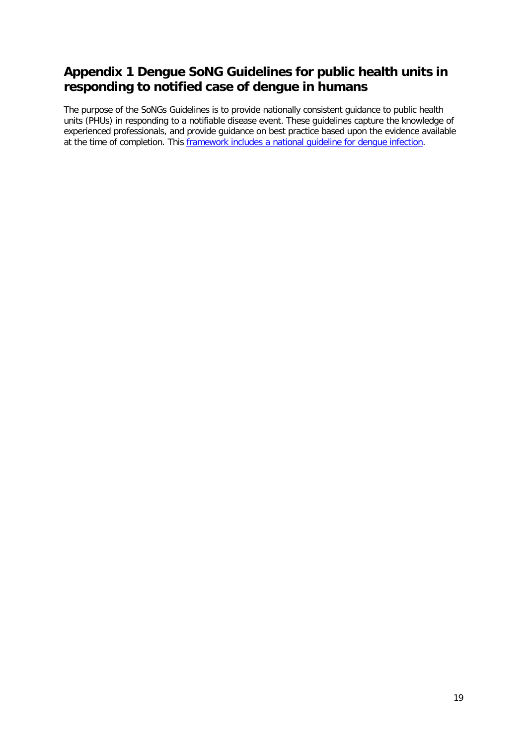# <span id="page-18-0"></span>**Appendix 1 Dengue SoNG Guidelines for public health units in responding to notified case of dengue in humans**

The purpose of the SoNGs Guidelines is to provide nationally consistent guidance to public health units (PHUs) in responding to a notifiable disease event. These guidelines capture the knowledge of experienced professionals, and provide guidance on best practice based upon the evidence available at the time of completion. This [framework includes a national guideline for dengue infection.](http://www.health.gov.au/internet/main/publishing.nsf/Content/cdna-song-dengue.htm%23framework)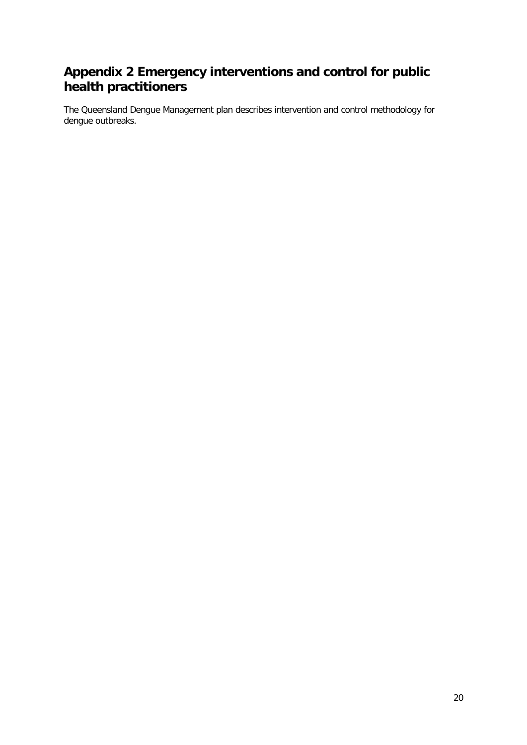# <span id="page-19-0"></span>**Appendix 2 Emergency interventions and control for public health practitioners**

[The Queensland Dengue Management plan](https://www.health.qld.gov.au/publications/clinical-practice/guidelines-procedures/diseases-infection/governance/dengue-mgt-plan.pdf) describes intervention and control methodology for dengue outbreaks.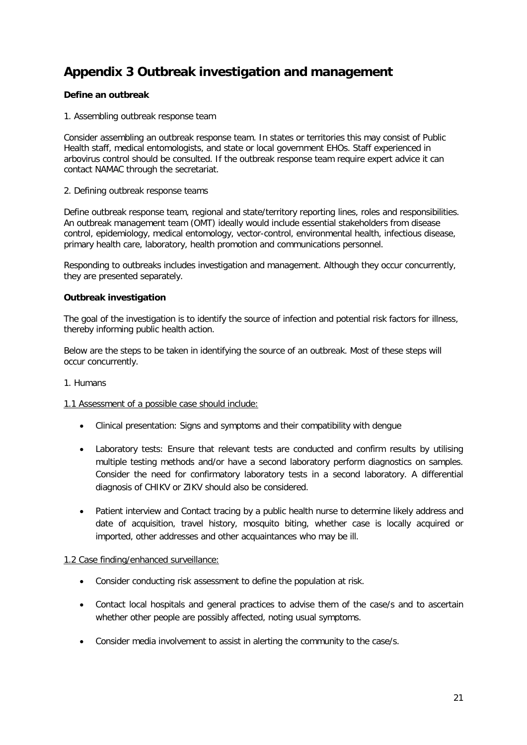# <span id="page-20-0"></span>**Appendix 3 Outbreak investigation and management**

# <span id="page-20-1"></span>**Define an outbreak**

1. Assembling outbreak response team

Consider assembling an outbreak response team. In states or territories this may consist of Public Health staff, medical entomologists, and state or local government EHOs. Staff experienced in arbovirus control should be consulted. If the outbreak response team require expert advice it can contact NAMAC through the secretariat.

# 2. Defining outbreak response teams

Define outbreak response team, regional and state/territory reporting lines, roles and responsibilities. An outbreak management team (OMT) ideally would include essential stakeholders from disease control, epidemiology, medical entomology, vector-control, environmental health, infectious disease, primary health care, laboratory, health promotion and communications personnel.

Responding to outbreaks includes investigation and management. Although they occur concurrently, they are presented separately.

# <span id="page-20-2"></span>**Outbreak investigation**

The goal of the investigation is to identify the source of infection and potential risk factors for illness, thereby informing public health action.

Below are the steps to be taken in identifying the source of an outbreak. Most of these steps will occur concurrently.

# <span id="page-20-3"></span>1. Humans

#### 1.1 Assessment of a possible case should include:

- Clinical presentation: Signs and symptoms and their compatibility with dengue
- Laboratory tests: Ensure that relevant tests are conducted and confirm results by utilising multiple testing methods and/or have a second laboratory perform diagnostics on samples. Consider the need for confirmatory laboratory tests in a second laboratory. A differential diagnosis of CHIKV or ZIKV should also be considered.
- Patient interview and Contact tracing by a public health nurse to determine likely address and date of acquisition, travel history, mosquito biting, whether case is locally acquired or imported, other addresses and other acquaintances who may be ill.

# 1.2 Case finding/enhanced surveillance:

- Consider conducting risk assessment to define the population at risk.
- Contact local hospitals and general practices to advise them of the case/s and to ascertain whether other people are possibly affected, noting usual symptoms.
- Consider media involvement to assist in alerting the community to the case/s.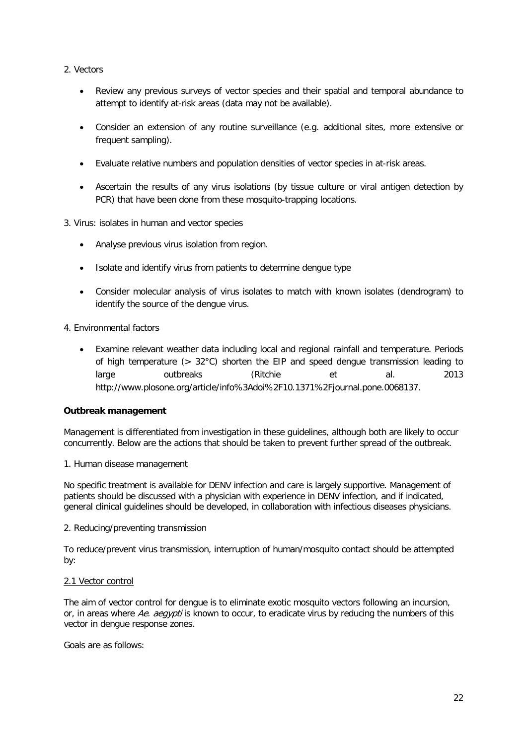- <span id="page-21-0"></span>2. Vectors
	- Review any previous surveys of vector species and their spatial and temporal abundance to attempt to identify at-risk areas (data may not be available).
	- Consider an extension of any routine surveillance (e.g. additional sites, more extensive or frequent sampling).
	- Evaluate relative numbers and population densities of vector species in at-risk areas.
	- Ascertain the results of any virus isolations (by tissue culture or viral antigen detection by PCR) that have been done from these mosquito-trapping locations.
- <span id="page-21-1"></span>3. Virus: isolates in human and vector species
	- Analyse previous virus isolation from region.
	- Isolate and identify virus from patients to determine dengue type
	- Consider molecular analysis of virus isolates to match with known isolates (dendrogram) to identify the source of the dengue virus.
- <span id="page-21-2"></span>4. Environmental factors
	- Examine relevant weather data including local and regional rainfall and temperature. Periods of high temperature (> 32°C) shorten the EIP and speed dengue transmission leading to large outbreaks (Ritchie et al. 2013 [http://www.plosone.org/article/info%3Adoi%2F10.1371%2Fjournal.pone.0068137.](http://www.plosone.org/article/info%3Adoi%2F10.1371%2Fjournal.pone.0068137)

# <span id="page-21-3"></span>**Outbreak management**

Management is differentiated from investigation in these guidelines, although both are likely to occur concurrently. Below are the actions that should be taken to prevent further spread of the outbreak.

#### <span id="page-21-4"></span>1. Human disease management

No specific treatment is available for DENV infection and care is largely supportive. Management of patients should be discussed with a physician with experience in DENV infection, and if indicated, general clinical guidelines should be developed, in collaboration with infectious diseases physicians.

<span id="page-21-5"></span>2. Reducing/preventing transmission

To reduce/prevent virus transmission, interruption of human/mosquito contact should be attempted by:

# 2.1 Vector control

The aim of vector control for dengue is to eliminate exotic mosquito vectors following an incursion, or, in areas where Ae. aegypti is known to occur, to eradicate virus by reducing the numbers of this vector in dengue response zones.

Goals are as follows: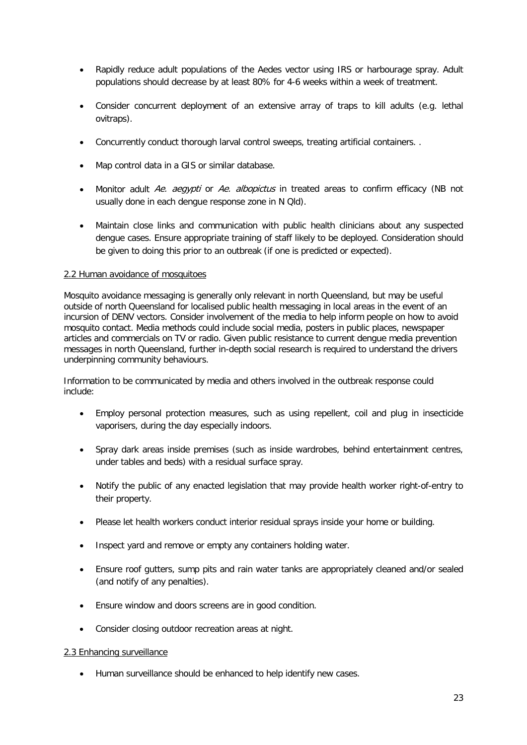- Rapidly reduce adult populations of the Aedes vector using IRS or harbourage spray. Adult populations should decrease by at least 80% for 4-6 weeks within a week of treatment.
- Consider concurrent deployment of an extensive array of traps to kill adults (e.g. lethal ovitraps).
- Concurrently conduct thorough larval control sweeps, treating artificial containers. .
- Map control data in a GIS or similar database.
- Monitor adult Ae. aegypti or Ae. albopictus in treated areas to confirm efficacy (NB not usually done in each dengue response zone in N Qld).
- Maintain close links and communication with public health clinicians about any suspected dengue cases. Ensure appropriate training of staff likely to be deployed. Consideration should be given to doing this prior to an outbreak (if one is predicted or expected).

### 2.2 Human avoidance of mosquitoes

Mosquito avoidance messaging is generally only relevant in north Queensland, but may be useful outside of north Queensland for localised public health messaging in local areas in the event of an incursion of DENV vectors. Consider involvement of the media to help inform people on how to avoid mosquito contact. Media methods could include social media, posters in public places, newspaper articles and commercials on TV or radio. Given public resistance to current dengue media prevention messages in north Queensland, further in-depth social research is required to understand the drivers underpinning community behaviours.

Information to be communicated by media and others involved in the outbreak response could include:

- Employ personal protection measures, such as using repellent, coil and plug in insecticide vaporisers, during the day especially indoors.
- Spray dark areas inside premises (such as inside wardrobes, behind entertainment centres, under tables and beds) with a residual surface spray.
- Notify the public of any enacted legislation that may provide health worker right-of-entry to their property.
- Please let health workers conduct interior residual sprays inside your home or building.
- Inspect yard and remove or empty any containers holding water.
- Ensure roof gutters, sump pits and rain water tanks are appropriately cleaned and/or sealed (and notify of any penalties).
- Ensure window and doors screens are in good condition.
- Consider closing outdoor recreation areas at night.

# 2.3 Enhancing surveillance

• Human surveillance should be enhanced to help identify new cases.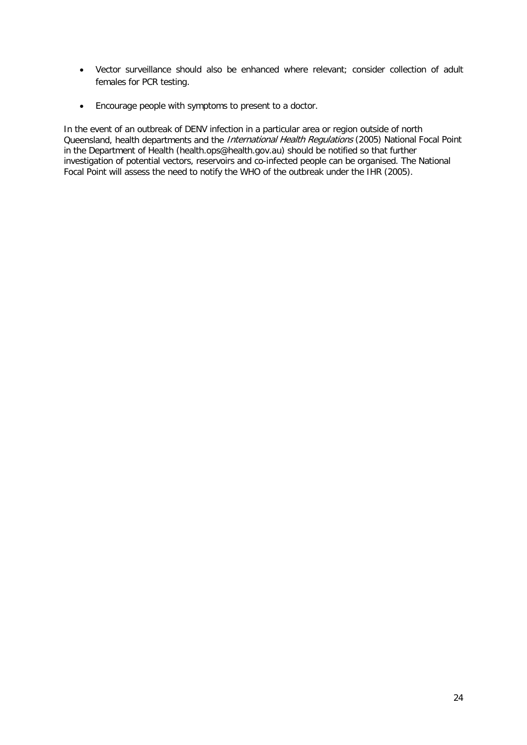- Vector surveillance should also be enhanced where relevant; consider collection of adult females for PCR testing.
- Encourage people with symptoms to present to a doctor.

In the event of an outbreak of DENV infection in a particular area or region outside of north Queensland, health departments and the International Health Regulations (2005) National Focal Point in the Department of Health (health.ops@health.gov.au) should be notified so that further investigation of potential vectors, reservoirs and co-infected people can be organised. The National Focal Point will assess the need to notify the WHO of the outbreak under the IHR (2005).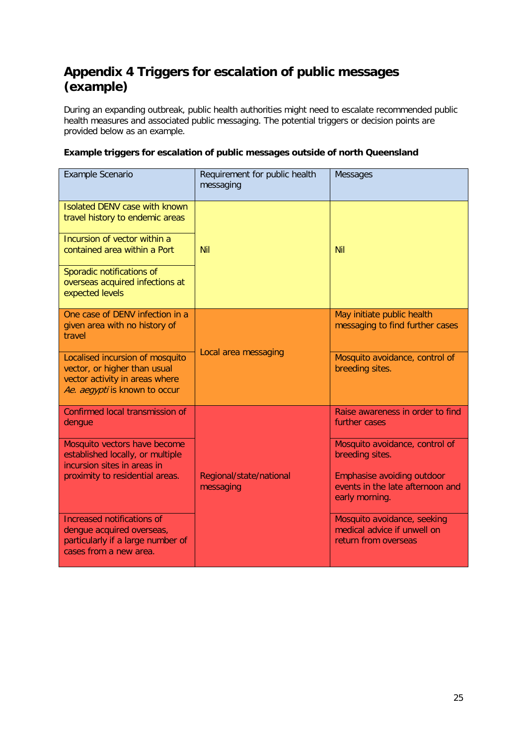# <span id="page-24-0"></span>**Appendix 4 Triggers for escalation of public messages (example)**

During an expanding outbreak, public health authorities might need to escalate recommended public health measures and associated public messaging. The potential triggers or decision points are provided below as an example.

# <span id="page-24-1"></span>**Example triggers for escalation of public messages outside of north Queensland**

| Example Scenario                                                                                                                   | Requirement for public health<br>messaging | Messages                                                                           |
|------------------------------------------------------------------------------------------------------------------------------------|--------------------------------------------|------------------------------------------------------------------------------------|
| <b>Isolated DENV case with known</b><br>travel history to endemic areas                                                            |                                            |                                                                                    |
| Incursion of vector within a<br>contained area within a Port                                                                       | <b>Nil</b>                                 | <b>Nil</b>                                                                         |
| Sporadic notifications of<br>overseas acquired infections at<br>expected levels                                                    |                                            |                                                                                    |
| One case of DENV infection in a<br>given area with no history of<br>travel                                                         | Local area messaging                       | May initiate public health<br>messaging to find further cases                      |
| Localised incursion of mosquito<br>vector, or higher than usual<br>vector activity in areas where<br>Ae. aegypti is known to occur |                                            | Mosquito avoidance, control of<br>breeding sites.                                  |
| Confirmed local transmission of<br>dengue                                                                                          |                                            | Raise awareness in order to find<br>further cases                                  |
| Mosquito vectors have become<br>established locally, or multiple<br>incursion sites in areas in                                    |                                            | Mosquito avoidance, control of<br>breeding sites.                                  |
| proximity to residential areas.                                                                                                    | Regional/state/national<br>messaging       | Emphasise avoiding outdoor<br>events in the late afternoon and<br>early morning.   |
| Increased notifications of<br>dengue acquired overseas,<br>particularly if a large number of<br>cases from a new area.             |                                            | Mosquito avoidance, seeking<br>medical advice if unwell on<br>return from overseas |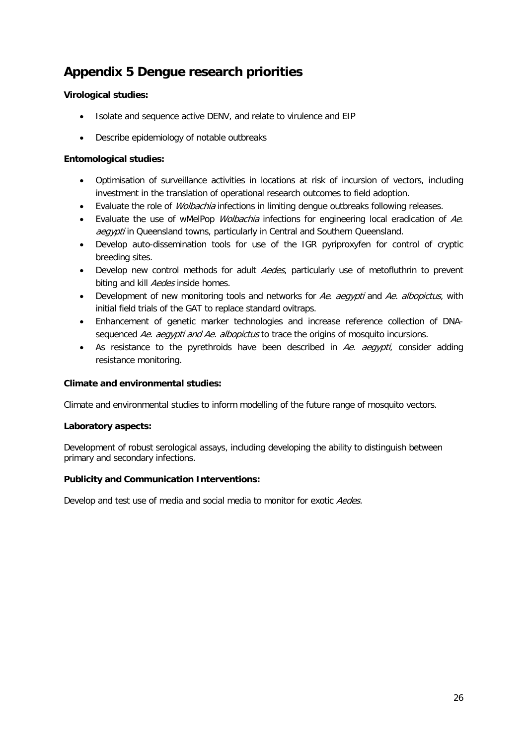# <span id="page-25-0"></span>**Appendix 5 Dengue research priorities**

# <span id="page-25-1"></span>**Virological studies:**

- Isolate and sequence active DENV, and relate to virulence and EIP
- Describe epidemiology of notable outbreaks

# <span id="page-25-2"></span>**Entomological studies:**

- Optimisation of surveillance activities in locations at risk of incursion of vectors, including investment in the translation of operational research outcomes to field adoption.
- Evaluate the role of *Wolbachia* infections in limiting dengue outbreaks following releases.
- Evaluate the use of wMelPop *Wolbachia* infections for engineering local eradication of Ae. aegypti in Queensland towns, particularly in Central and Southern Queensland.
- Develop auto-dissemination tools for use of the IGR pyriproxyfen for control of cryptic breeding sites.
- Develop new control methods for adult *Aedes*, particularly use of metofluthrin to prevent biting and kill Aedes inside homes.
- Development of new monitoring tools and networks for Ae. aegypti and Ae. albopictus, with initial field trials of the GAT to replace standard ovitraps.
- Enhancement of genetic marker technologies and increase reference collection of DNAsequenced Ae. aegypti and Ae. albopictus to trace the origins of mosquito incursions.
- As resistance to the pyrethroids have been described in  $Ae$ . aegypti, consider adding resistance monitoring.

# <span id="page-25-3"></span>**Climate and environmental studies:**

Climate and environmental studies to inform modelling of the future range of mosquito vectors.

# <span id="page-25-4"></span>**Laboratory aspects:**

Development of robust serological assays, including developing the ability to distinguish between primary and secondary infections.

# <span id="page-25-5"></span>**Publicity and Communication Interventions:**

Develop and test use of media and social media to monitor for exotic Aedes.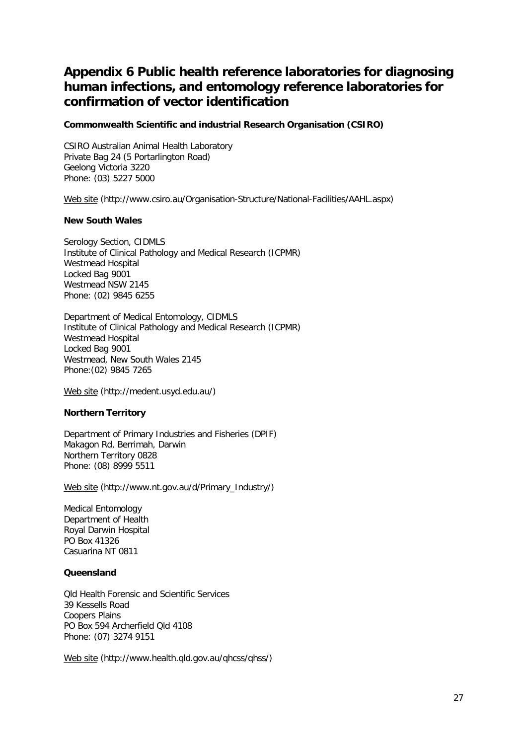# <span id="page-26-0"></span>**Appendix 6 Public health reference laboratories for diagnosing human infections, and entomology reference laboratories for confirmation of vector identification**

## <span id="page-26-1"></span>**Commonwealth Scientific and industrial Research Organisation (CSIRO)**

CSIRO Australian Animal Health Laboratory Private Bag 24 (5 Portarlington Road) Geelong Victoria 3220 Phone: (03) 5227 5000

[Web site](http://www.csiro.au/Organisation-Structure/National-Facilities/AAHL.aspx) (http://www.csiro.au/Organisation-Structure/National-Facilities/AAHL.aspx)

### <span id="page-26-2"></span>**New South Wales**

Serology Section, CIDMLS Institute of Clinical Pathology and Medical Research (ICPMR) Westmead Hospital Locked Bag 9001 Westmead NSW 2145 Phone: (02) 9845 6255

Department of Medical Entomology, CIDMLS Institute of Clinical Pathology and Medical Research (ICPMR) Westmead Hospital Locked Bag 9001 Westmead, New South Wales 2145 Phone:(02) 9845 7265

[Web site](http://medent.usyd.edu.au/) (http://medent.usyd.edu.au/)

# <span id="page-26-3"></span>**Northern Territory**

Department of Primary Industries and Fisheries (DPIF) Makagon Rd, Berrimah, Darwin Northern Territory 0828 Phone: (08) 8999 5511

[Web site](http://www.nt.gov.au/d/Primary_Industry/) (http://www.nt.gov.au/d/Primary\_Industry/)

Medical Entomology Department of Health Royal Darwin Hospital PO Box 41326 Casuarina NT 0811

### <span id="page-26-4"></span>**Queensland**

Qld Health Forensic and Scientific Services 39 Kessells Road Coopers Plains PO Box 594 Archerfield Qld 4108 Phone: (07) 3274 9151

[Web site](http://www.health.qld.gov.au/qhcss/qhss/) (http://www.health.qld.gov.au/qhcss/qhss/)